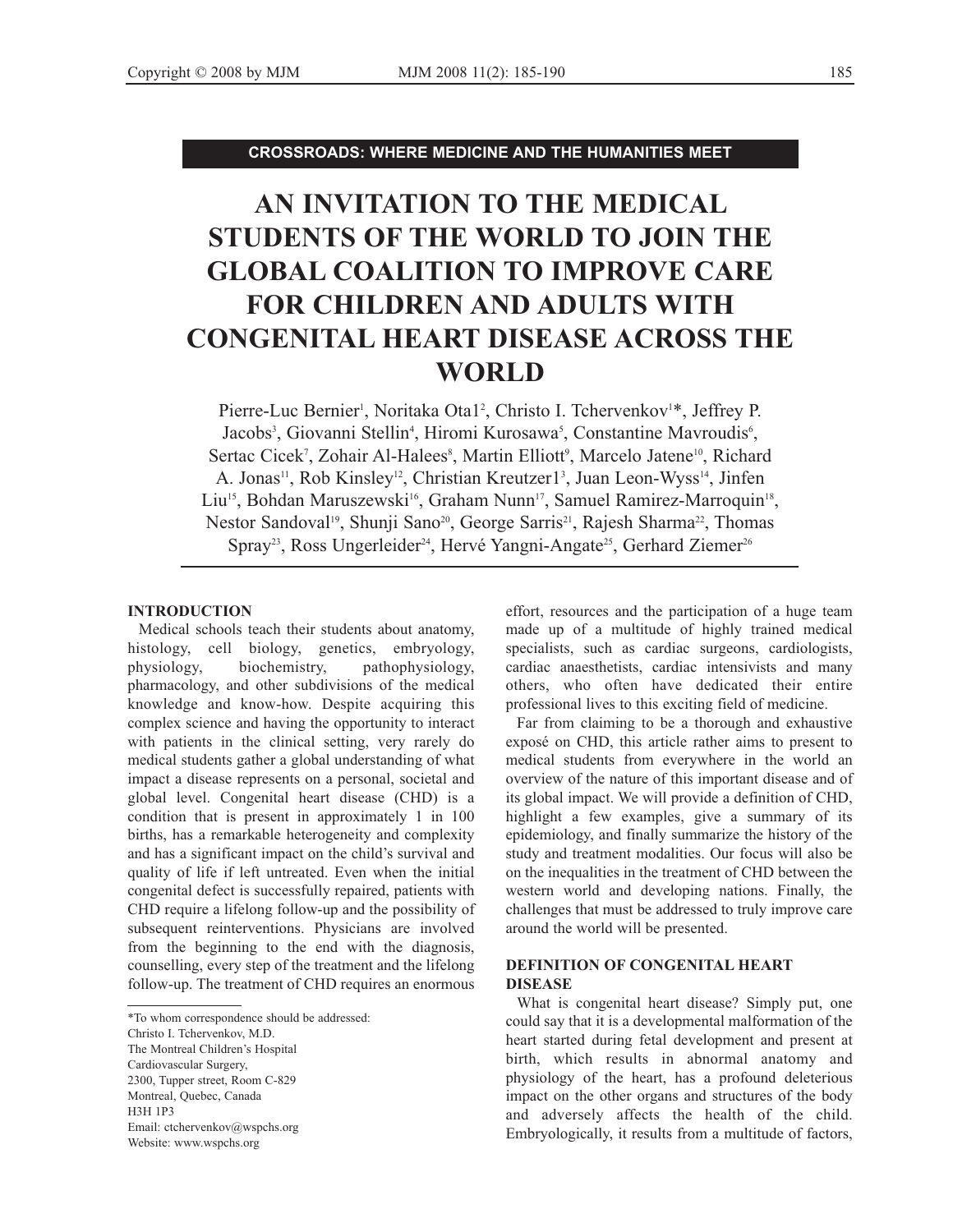**CROSSROADS: WHERE MEDICINE AND THE HUMANITIES MEET**

# **AN INVITATION TO THE MEDICAL STUDENTS OF THE WORLD TO JOIN THE GLOBAL COALITION TO IMPROVE CARE FOR CHILDREN AND ADULTS WITH CONGENITAL HEART DISEASE ACROSS THE WORLD**

Pierre-Luc Bernier<sup>1</sup>, Noritaka Ota1<sup>2</sup>, Christo I. Tchervenkov<sup>1\*</sup>, Jeffrey P. Jacobs<sup>3</sup>, Giovanni Stellin<sup>4</sup>, Hiromi Kurosawa<sup>5</sup>, Constantine Mavroudis<sup>6</sup>, Sertac Cicek<sup>7</sup>, Zohair Al-Halees<sup>8</sup>, Martin Elliott<sup>9</sup>, Marcelo Jatene<sup>10</sup>, Richard A. Jonas<sup>11</sup>, Rob Kinsley<sup>12</sup>, Christian Kreutzer1<sup>3</sup>, Juan Leon-Wyss<sup>14</sup>, Jinfen Liu<sup>15</sup>, Bohdan Maruszewski<sup>16</sup>, Graham Nunn<sup>17</sup>, Samuel Ramirez-Marroquin<sup>18</sup>, Nestor Sandoval<sup>19</sup>, Shunji Sano<sup>20</sup>, George Sarris<sup>21</sup>, Rajesh Sharma<sup>22</sup>, Thomas Spray<sup>23</sup>, Ross Ungerleider<sup>24</sup>, Hervé Yangni-Angate<sup>25</sup>, Gerhard Ziemer<sup>26</sup>

#### **INTRODUCTION**

Medical schools teach their students about anatomy, histology, cell biology, genetics, embryology, physiology, biochemistry, pathophysiology, pharmacology, and other subdivisions of the medical knowledge and know-how. Despite acquiring this complex science and having the opportunity to interact with patients in the clinical setting, very rarely do medical students gather a global understanding of what impact a disease represents on a personal, societal and global level. Congenital heart disease (CHD) is a condition that is present in approximately 1 in 100 births, has a remarkable heterogeneity and complexity and has a significant impact on the child's survival and quality of life if left untreated. Even when the initial congenital defect is successfully repaired, patients with CHD require a lifelong follow-up and the possibility of subsequent reinterventions. Physicians are involved from the beginning to the end with the diagnosis, counselling, every step of the treatment and the lifelong follow-up. The treatment of CHD requires an enormous effort, resources and the participation of a huge team made up of a multitude of highly trained medical specialists, such as cardiac surgeons, cardiologists, cardiac anaesthetists, cardiac intensivists and many others, who often have dedicated their entire professional lives to this exciting field of medicine.

Far from claiming to be a thorough and exhaustive exposé on CHD, this article rather aims to present to medical students from everywhere in the world an overview of the nature of this important disease and of its global impact. We will provide a definition of CHD, highlight a few examples, give a summary of its epidemiology, and finally summarize the history of the study and treatment modalities. Our focus will also be on the inequalities in the treatment of CHD between the western world and developing nations. Finally, the challenges that must be addressed to truly improve care around the world will be presented.

# **DEFINITION OF CONGENITAL HEART DISEASE**

What is congenital heart disease? Simply put, one could say that it is a developmental malformation of the heart started during fetal development and present at birth, which results in abnormal anatomy and physiology of the heart, has a profound deleterious impact on the other organs and structures of the body and adversely affects the health of the child. Embryologically, it results from a multitude of factors,

<sup>\*</sup>To whom correspondence should be addressed:

Christo I. Tchervenkov, M.D.

The Montreal Children's Hospital

Cardiovascular Surgery,

<sup>2300,</sup> Tupper street, Room C-829

Montreal, Quebec, Canada

H3H 1P3

Email: ctchervenkov@wspchs.org Website: www.wspchs.org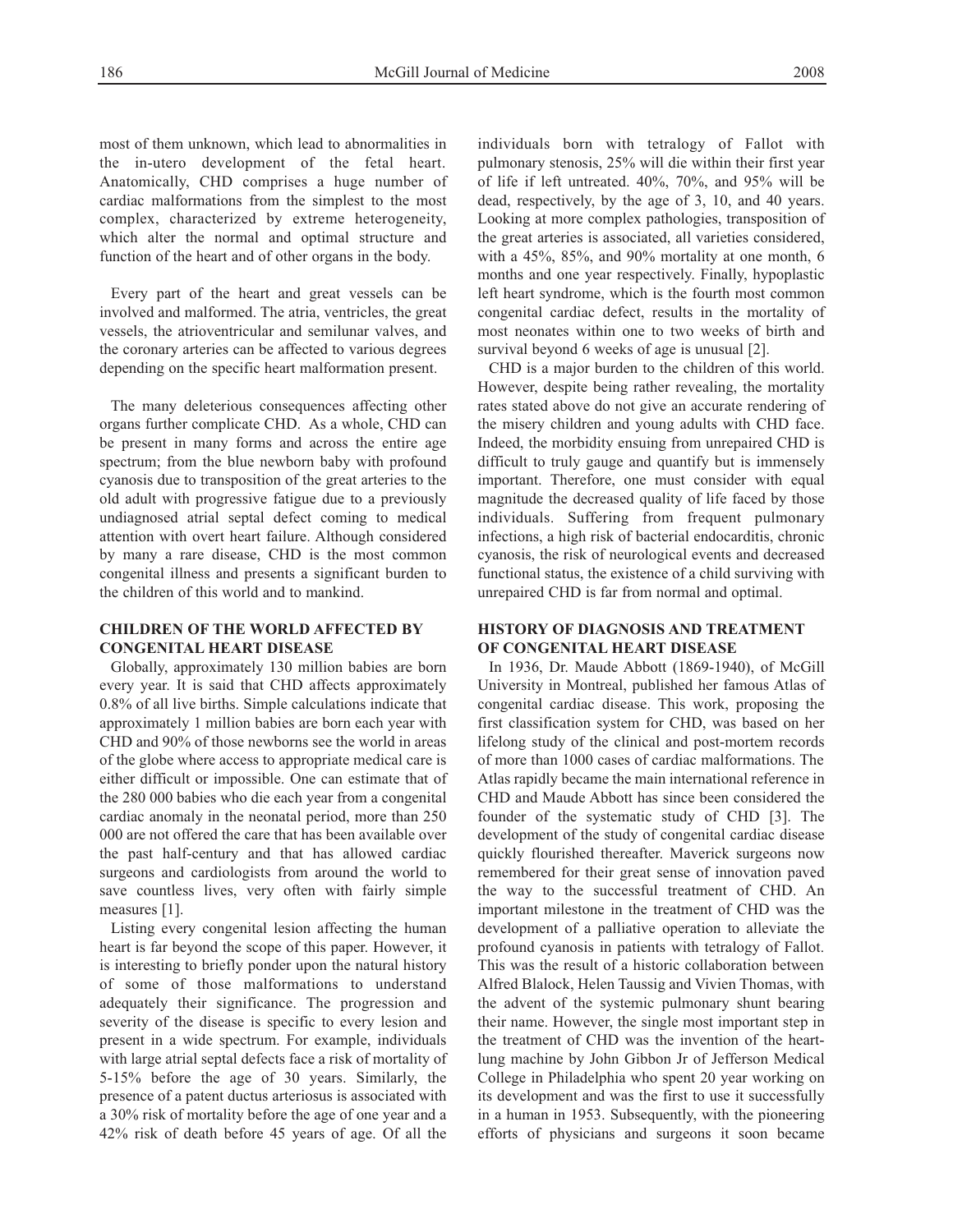most of them unknown, which lead to abnormalities in the in-utero development of the fetal heart. Anatomically, CHD comprises a huge number of cardiac malformations from the simplest to the most complex, characterized by extreme heterogeneity, which alter the normal and optimal structure and function of the heart and of other organs in the body.

Every part of the heart and great vessels can be involved and malformed. The atria, ventricles, the great vessels, the atrioventricular and semilunar valves, and the coronary arteries can be affected to various degrees depending on the specific heart malformation present.

The many deleterious consequences affecting other organs further complicate CHD. As a whole, CHD can be present in many forms and across the entire age spectrum; from the blue newborn baby with profound cyanosis due to transposition of the great arteries to the old adult with progressive fatigue due to a previously undiagnosed atrial septal defect coming to medical attention with overt heart failure. Although considered by many a rare disease, CHD is the most common congenital illness and presents a significant burden to the children of this world and to mankind.

### **CHILDREN OF THE WORLD AFFECTED BY CONGENITAL HEART DISEASE**

Globally, approximately 130 million babies are born every year. It is said that CHD affects approximately 0.8% of all live births. Simple calculations indicate that approximately 1 million babies are born each year with CHD and 90% of those newborns see the world in areas of the globe where access to appropriate medical care is either difficult or impossible. One can estimate that of the 280 000 babies who die each year from a congenital cardiac anomaly in the neonatal period, more than 250 000 are not offered the care that has been available over the past half-century and that has allowed cardiac surgeons and cardiologists from around the world to save countless lives, very often with fairly simple measures [1].

Listing every congenital lesion affecting the human heart is far beyond the scope of this paper. However, it is interesting to briefly ponder upon the natural history of some of those malformations to understand adequately their significance. The progression and severity of the disease is specific to every lesion and present in a wide spectrum. For example, individuals with large atrial septal defects face a risk of mortality of 5-15% before the age of 30 years. Similarly, the presence of a patent ductus arteriosus is associated with a 30% risk of mortality before the age of one year and a 42% risk of death before 45 years of age. Of all the individuals born with tetralogy of Fallot with pulmonary stenosis, 25% will die within their first year of life if left untreated. 40%, 70%, and 95% will be dead, respectively, by the age of 3, 10, and 40 years. Looking at more complex pathologies, transposition of the great arteries is associated, all varieties considered, with a 45%, 85%, and 90% mortality at one month, 6 months and one year respectively. Finally, hypoplastic left heart syndrome, which is the fourth most common congenital cardiac defect, results in the mortality of most neonates within one to two weeks of birth and survival beyond 6 weeks of age is unusual [2].

CHD is a major burden to the children of this world. However, despite being rather revealing, the mortality rates stated above do not give an accurate rendering of the misery children and young adults with CHD face. Indeed, the morbidity ensuing from unrepaired CHD is difficult to truly gauge and quantify but is immensely important. Therefore, one must consider with equal magnitude the decreased quality of life faced by those individuals. Suffering from frequent pulmonary infections, a high risk of bacterial endocarditis, chronic cyanosis, the risk of neurological events and decreased functional status, the existence of a child surviving with unrepaired CHD is far from normal and optimal.

## **HISTORY OF DIAGNOSIS AND TREATMENT OF CONGENITAL HEART DISEASE**

In 1936, Dr. Maude Abbott (1869-1940), of McGill University in Montreal, published her famous Atlas of congenital cardiac disease. This work, proposing the first classification system for CHD, was based on her lifelong study of the clinical and post-mortem records of more than 1000 cases of cardiac malformations. The Atlas rapidly became the main international reference in CHD and Maude Abbott has since been considered the founder of the systematic study of CHD [3]. The development of the study of congenital cardiac disease quickly flourished thereafter. Maverick surgeons now remembered for their great sense of innovation paved the way to the successful treatment of CHD. An important milestone in the treatment of CHD was the development of a palliative operation to alleviate the profound cyanosis in patients with tetralogy of Fallot. This was the result of a historic collaboration between Alfred Blalock, Helen Taussig and Vivien Thomas, with the advent of the systemic pulmonary shunt bearing their name. However, the single most important step in the treatment of CHD was the invention of the heartlung machine by John Gibbon Jr of Jefferson Medical College in Philadelphia who spent 20 year working on its development and was the first to use it successfully in a human in 1953. Subsequently, with the pioneering efforts of physicians and surgeons it soon became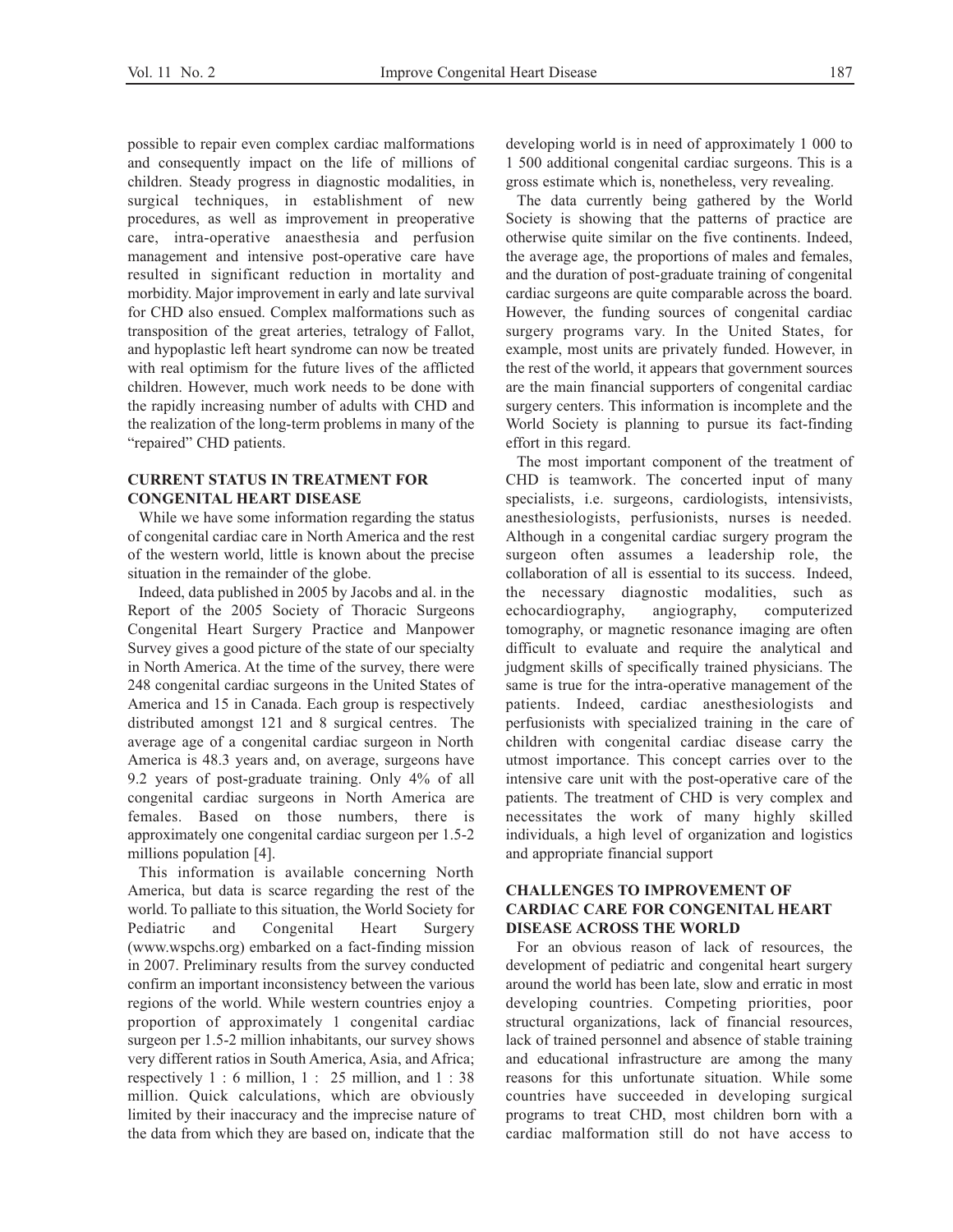possible to repair even complex cardiac malformations and consequently impact on the life of millions of children. Steady progress in diagnostic modalities, in surgical techniques, in establishment of new procedures, as well as improvement in preoperative care, intra-operative anaesthesia and perfusion management and intensive post-operative care have resulted in significant reduction in mortality and morbidity. Major improvement in early and late survival for CHD also ensued. Complex malformations such as transposition of the great arteries, tetralogy of Fallot, and hypoplastic left heart syndrome can now be treated with real optimism for the future lives of the afflicted children. However, much work needs to be done with the rapidly increasing number of adults with CHD and the realization of the long-term problems in many of the "repaired" CHD patients.

## **CURRENT STATUS IN TREATMENT FOR CONGENITAL HEART DISEASE**

While we have some information regarding the status of congenital cardiac care in North America and the rest of the western world, little is known about the precise situation in the remainder of the globe.

Indeed, data published in 2005 by Jacobs and al. in the Report of the 2005 Society of Thoracic Surgeons Congenital Heart Surgery Practice and Manpower Survey gives a good picture of the state of our specialty in North America. At the time of the survey, there were 248 congenital cardiac surgeons in the United States of America and 15 in Canada. Each group is respectively distributed amongst 121 and 8 surgical centres. The average age of a congenital cardiac surgeon in North America is 48.3 years and, on average, surgeons have 9.2 years of post-graduate training. Only 4% of all congenital cardiac surgeons in North America are females. Based on those numbers, there is approximately one congenital cardiac surgeon per 1.5-2 millions population [4].

This information is available concerning North America, but data is scarce regarding the rest of the world. To palliate to this situation, the World Society for Pediatric and Congenital Heart Surgery (www.wspchs.org) embarked on a fact-finding mission in 2007. Preliminary results from the survey conducted confirm an important inconsistency between the various regions of the world. While western countries enjoy a proportion of approximately 1 congenital cardiac surgeon per 1.5-2 million inhabitants, our survey shows very different ratios in South America, Asia, and Africa; respectively  $1:6$  million,  $1:25$  million, and  $1:38$ million. Quick calculations, which are obviously limited by their inaccuracy and the imprecise nature of the data from which they are based on, indicate that the developing world is in need of approximately 1 000 to 1 500 additional congenital cardiac surgeons. This is a gross estimate which is, nonetheless, very revealing.

The data currently being gathered by the World Society is showing that the patterns of practice are otherwise quite similar on the five continents. Indeed, the average age, the proportions of males and females, and the duration of post-graduate training of congenital cardiac surgeons are quite comparable across the board. However, the funding sources of congenital cardiac surgery programs vary. In the United States, for example, most units are privately funded. However, in the rest of the world, it appears that government sources are the main financial supporters of congenital cardiac surgery centers. This information is incomplete and the World Society is planning to pursue its fact-finding effort in this regard.

The most important component of the treatment of CHD is teamwork. The concerted input of many specialists, i.e. surgeons, cardiologists, intensivists, anesthesiologists, perfusionists, nurses is needed. Although in a congenital cardiac surgery program the surgeon often assumes a leadership role, the collaboration of all is essential to its success. Indeed, the necessary diagnostic modalities, such as echocardiography, angiography, computerized tomography, or magnetic resonance imaging are often difficult to evaluate and require the analytical and judgment skills of specifically trained physicians. The same is true for the intra-operative management of the patients. Indeed, cardiac anesthesiologists and perfusionists with specialized training in the care of children with congenital cardiac disease carry the utmost importance. This concept carries over to the intensive care unit with the post-operative care of the patients. The treatment of CHD is very complex and necessitates the work of many highly skilled individuals, a high level of organization and logistics and appropriate financial support

# **CHALLENGES TO IMPROVEMENT OF CARDIAC CARE FOR CONGENITAL HEART DISEASE ACROSS THE WORLD**

For an obvious reason of lack of resources, the development of pediatric and congenital heart surgery around the world has been late, slow and erratic in most developing countries. Competing priorities, poor structural organizations, lack of financial resources, lack of trained personnel and absence of stable training and educational infrastructure are among the many reasons for this unfortunate situation. While some countries have succeeded in developing surgical programs to treat CHD, most children born with a cardiac malformation still do not have access to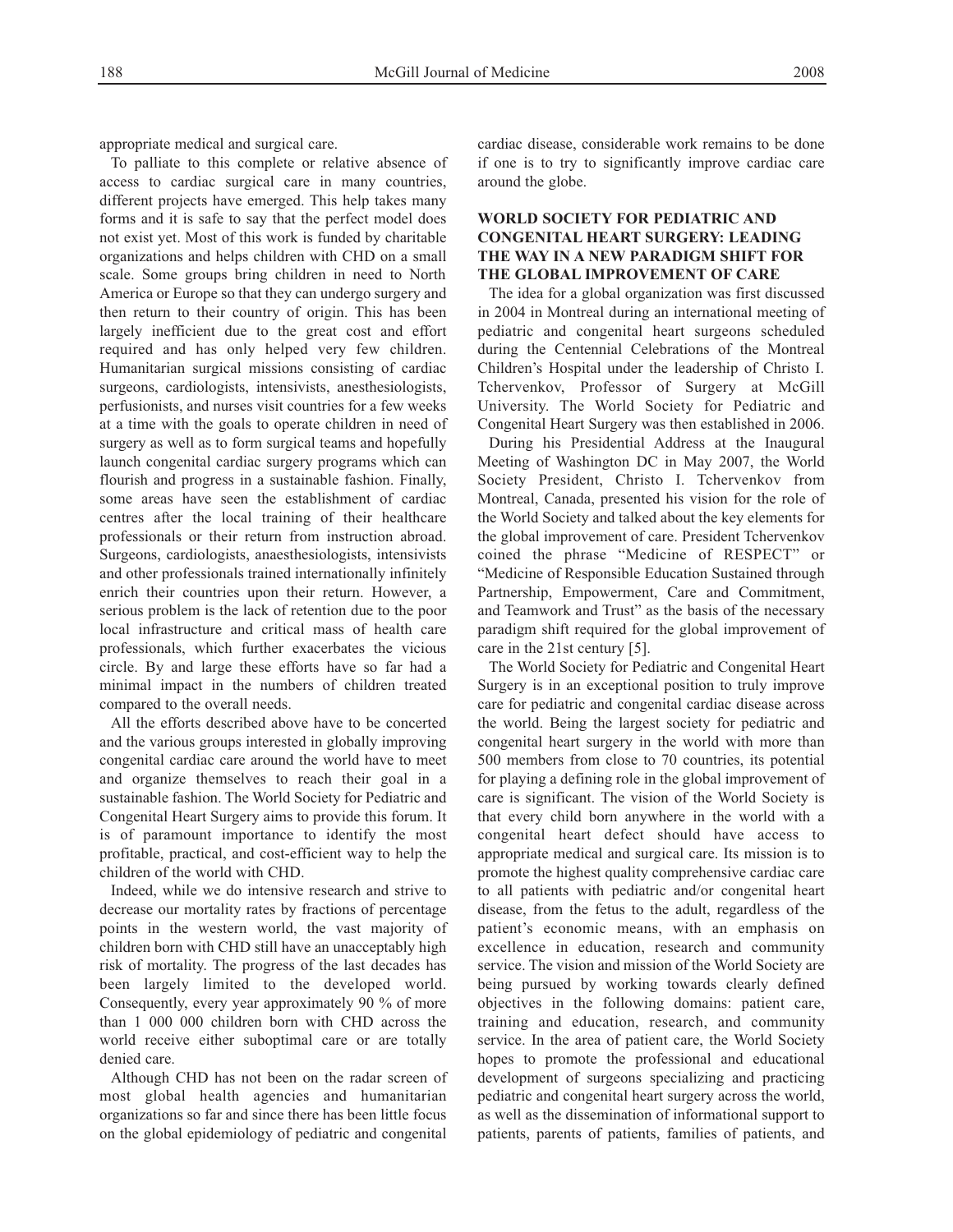appropriate medical and surgical care.

To palliate to this complete or relative absence of access to cardiac surgical care in many countries, different projects have emerged. This help takes many forms and it is safe to say that the perfect model does not exist yet. Most of this work is funded by charitable organizations and helps children with CHD on a small scale. Some groups bring children in need to North America or Europe so that they can undergo surgery and then return to their country of origin. This has been largely inefficient due to the great cost and effort required and has only helped very few children. Humanitarian surgical missions consisting of cardiac surgeons, cardiologists, intensivists, anesthesiologists, perfusionists, and nurses visit countries for a few weeks at a time with the goals to operate children in need of surgery as well as to form surgical teams and hopefully launch congenital cardiac surgery programs which can flourish and progress in a sustainable fashion. Finally, some areas have seen the establishment of cardiac centres after the local training of their healthcare professionals or their return from instruction abroad. Surgeons, cardiologists, anaesthesiologists, intensivists and other professionals trained internationally infinitely enrich their countries upon their return. However, a serious problem is the lack of retention due to the poor local infrastructure and critical mass of health care professionals, which further exacerbates the vicious circle. By and large these efforts have so far had a minimal impact in the numbers of children treated compared to the overall needs.

All the efforts described above have to be concerted and the various groups interested in globally improving congenital cardiac care around the world have to meet and organize themselves to reach their goal in a sustainable fashion. The World Society for Pediatric and Congenital Heart Surgery aims to provide this forum. It is of paramount importance to identify the most profitable, practical, and cost-efficient way to help the children of the world with CHD.

Indeed, while we do intensive research and strive to decrease our mortality rates by fractions of percentage points in the western world, the vast majority of children born with CHD still have an unacceptably high risk of mortality. The progress of the last decades has been largely limited to the developed world. Consequently, every year approximately 90 % of more than 1 000 000 children born with CHD across the world receive either suboptimal care or are totally denied care.

Although CHD has not been on the radar screen of most global health agencies and humanitarian organizations so far and since there has been little focus on the global epidemiology of pediatric and congenital cardiac disease, considerable work remains to be done if one is to try to significantly improve cardiac care around the globe.

# **WORLD SOCIETY FOR PEDIATRIC AND CONGENITAL HEART SURGERY: LEADING THE WAY IN A NEW PARADIGM SHIFT FOR THE GLOBAL IMPROVEMENT OF CARE**

The idea for a global organization was first discussed in 2004 in Montreal during an international meeting of pediatric and congenital heart surgeons scheduled during the Centennial Celebrations of the Montreal Children's Hospital under the leadership of Christo I. Tchervenkov, Professor of Surgery at McGill University. The World Society for Pediatric and Congenital Heart Surgery was then established in 2006.

During his Presidential Address at the Inaugural Meeting of Washington DC in May 2007, the World Society President, Christo I. Tchervenkov from Montreal, Canada, presented his vision for the role of the World Society and talked about the key elements for the global improvement of care. President Tchervenkov coined the phrase "Medicine of RESPECT" or "Medicine of Responsible Education Sustained through Partnership, Empowerment, Care and Commitment, and Teamwork and Trust" as the basis of the necessary paradigm shift required for the global improvement of care in the 21st century [5].

The World Society for Pediatric and Congenital Heart Surgery is in an exceptional position to truly improve care for pediatric and congenital cardiac disease across the world. Being the largest society for pediatric and congenital heart surgery in the world with more than 500 members from close to 70 countries, its potential for playing a defining role in the global improvement of care is significant. The vision of the World Society is that every child born anywhere in the world with a congenital heart defect should have access to appropriate medical and surgical care. Its mission is to promote the highest quality comprehensive cardiac care to all patients with pediatric and/or congenital heart disease, from the fetus to the adult, regardless of the patient's economic means, with an emphasis on excellence in education, research and community service. The vision and mission of the World Society are being pursued by working towards clearly defined objectives in the following domains: patient care, training and education, research, and community service. In the area of patient care, the World Society hopes to promote the professional and educational development of surgeons specializing and practicing pediatric and congenital heart surgery across the world, as well as the dissemination of informational support to patients, parents of patients, families of patients, and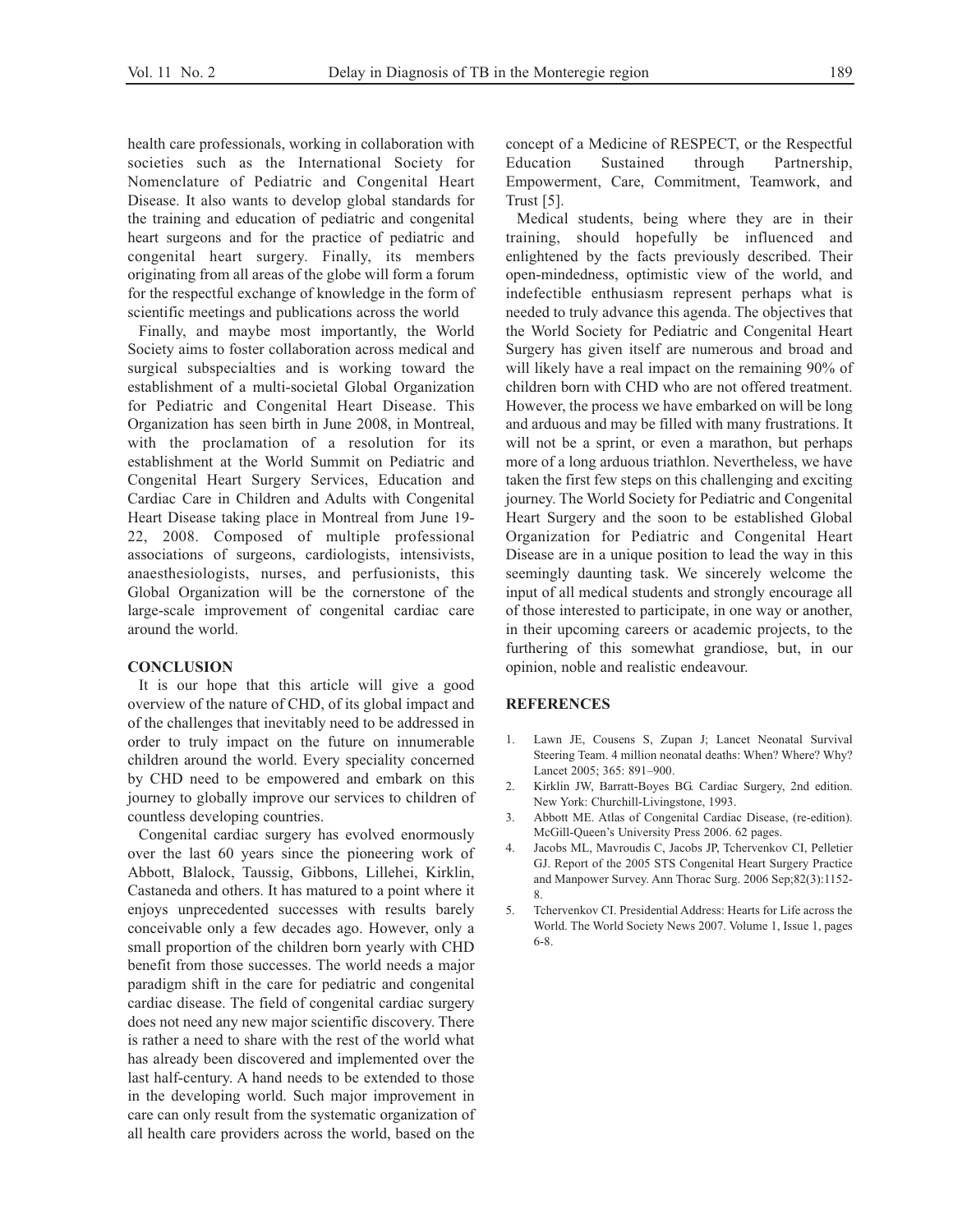health care professionals, working in collaboration with societies such as the International Society for Nomenclature of Pediatric and Congenital Heart Disease. It also wants to develop global standards for the training and education of pediatric and congenital heart surgeons and for the practice of pediatric and congenital heart surgery. Finally, its members originating from all areas of the globe will form a forum for the respectful exchange of knowledge in the form of scientific meetings and publications across the world

Finally, and maybe most importantly, the World Society aims to foster collaboration across medical and surgical subspecialties and is working toward the establishment of a multi-societal Global Organization for Pediatric and Congenital Heart Disease. This Organization has seen birth in June 2008, in Montreal, with the proclamation of a resolution for its establishment at the World Summit on Pediatric and Congenital Heart Surgery Services, Education and Cardiac Care in Children and Adults with Congenital Heart Disease taking place in Montreal from June 19- 22, 2008. Composed of multiple professional associations of surgeons, cardiologists, intensivists, anaesthesiologists, nurses, and perfusionists, this Global Organization will be the cornerstone of the large-scale improvement of congenital cardiac care around the world.

#### **CONCLUSION**

It is our hope that this article will give a good overview of the nature of CHD, of its global impact and of the challenges that inevitably need to be addressed in order to truly impact on the future on innumerable children around the world. Every speciality concerned by CHD need to be empowered and embark on this journey to globally improve our services to children of countless developing countries.

Congenital cardiac surgery has evolved enormously over the last 60 years since the pioneering work of Abbott, Blalock, Taussig, Gibbons, Lillehei, Kirklin, Castaneda and others. It has matured to a point where it enjoys unprecedented successes with results barely conceivable only a few decades ago. However, only a small proportion of the children born yearly with CHD benefit from those successes. The world needs a major paradigm shift in the care for pediatric and congenital cardiac disease. The field of congenital cardiac surgery does not need any new major scientific discovery. There is rather a need to share with the rest of the world what has already been discovered and implemented over the last half-century. A hand needs to be extended to those in the developing world. Such major improvement in care can only result from the systematic organization of all health care providers across the world, based on the concept of a Medicine of RESPECT, or the Respectful Education Sustained through Partnership, Empowerment, Care, Commitment, Teamwork, and Trust [5].

Medical students, being where they are in their training, should hopefully be influenced and enlightened by the facts previously described. Their open-mindedness, optimistic view of the world, and indefectible enthusiasm represent perhaps what is needed to truly advance this agenda. The objectives that the World Society for Pediatric and Congenital Heart Surgery has given itself are numerous and broad and will likely have a real impact on the remaining 90% of children born with CHD who are not offered treatment. However, the process we have embarked on will be long and arduous and may be filled with many frustrations. It will not be a sprint, or even a marathon, but perhaps more of a long arduous triathlon. Nevertheless, we have taken the first few steps on this challenging and exciting journey. The World Society for Pediatric and Congenital Heart Surgery and the soon to be established Global Organization for Pediatric and Congenital Heart Disease are in a unique position to lead the way in this seemingly daunting task. We sincerely welcome the input of all medical students and strongly encourage all of those interested to participate, in one way or another, in their upcoming careers or academic projects, to the furthering of this somewhat grandiose, but, in our opinion, noble and realistic endeavour.

#### **REFERENCES**

- 1. Lawn JE, Cousens S, Zupan J; Lancet Neonatal Survival Steering Team. 4 million neonatal deaths: When? Where? Why? Lancet 2005; 365: 891–900.
- 2. Kirklin JW, Barratt-Boyes BG. Cardiac Surgery, 2nd edition. New York: Churchill-Livingstone, 1993.
- 3. Abbott ME. Atlas of Congenital Cardiac Disease, (re-edition). McGill-Queen's University Press 2006. 62 pages.
- 4. Jacobs ML, Mavroudis C, Jacobs JP, Tchervenkov CI, Pelletier GJ. Report of the 2005 STS Congenital Heart Surgery Practice and Manpower Survey. Ann Thorac Surg. 2006 Sep;82(3):1152- 8.
- 5. Tchervenkov CI. Presidential Address: Hearts for Life across the World. The World Society News 2007. Volume 1, Issue 1, pages 6-8.